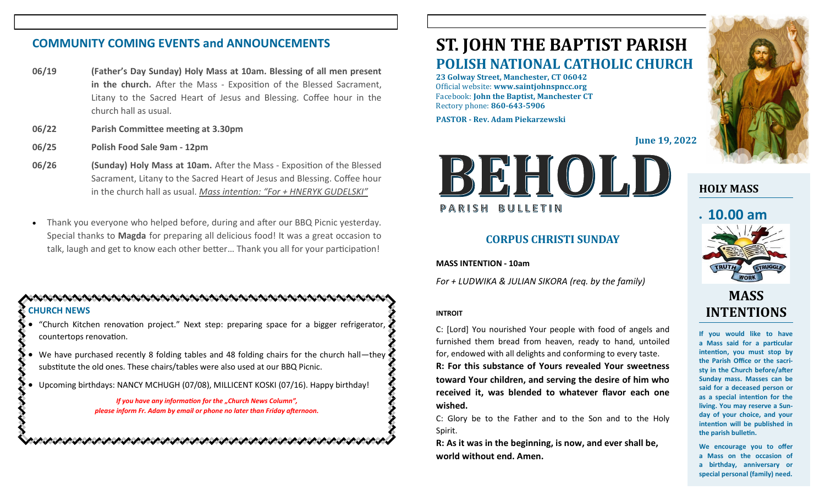# **COMMUNITY COMING EVENTS and ANNOUNCEMENTS**

- **06/19 (Father's Day Sunday) Holy Mass at 10am. Blessing of all men present in the church.** After the Mass - Exposition of the Blessed Sacrament, Litany to the Sacred Heart of Jesus and Blessing. Coffee hour in the church hall as usual.
- **06/22 Parish Committee meeting at 3.30pm**
- **06/25 Polish Food Sale 9am - 12pm**
- **06/26 (Sunday) Holy Mass at 10am.** After the Mass Exposition of the Blessed Sacrament, Litany to the Sacred Heart of Jesus and Blessing. Coffee hour in the church hall as usual. *Mass intention: "For + HNERYK GUDELSKI"*
- Thank you everyone who helped before, during and after our BBQ Picnic yesterday. Special thanks to **Magda** for preparing all delicious food! It was a great occasion to talk, laugh and get to know each other better… Thank you all for your participation!

# **CHURCH NEWS**

- "Church Kitchen renovation project." Next step: preparing space for a bigger refrigerator, countertops renovation.
- We have purchased recently 8 folding tables and 48 folding chairs for the church hall—they substitute the old ones. These chairs/tables were also used at our BBQ Picnic.
- Upcoming birthdays: NANCY MCHUGH (07/08), MILLICENT KOSKI (07/16). Happy birthday!

*If you have any information for the "Church News Column", please inform Fr. Adam by email or phone no later than Friday afternoon.*

# **ST. JOHN THE BAPTIST PARISH POLISH NATIONAL CATHOLIC CHURCH**

**23 Golway Street, Manchester, CT 06042** Official website: **www.saintjohnspncc.org** Facebook: **John the Baptist, Manchester CT** Rectory phone: **860-643-5906** 

**PASTOR - Rev. Adam Piekarzewski**

**June 19, 2022**



# **CORPUS CHRISTI SUNDAY**

**MASS INTENTION - 10am**

*For + LUDWIKA & JULIAN SIKORA (req. by the family)*

### **INTROIT**

C: [Lord] You nourished Your people with food of angels and furnished them bread from heaven, ready to hand, untoiled for, endowed with all delights and conforming to every taste.

**R: For this substance of Yours revealed Your sweetness toward Your children, and serving the desire of him who received it, was blended to whatever flavor each one wished.**

C: Glory be to the Father and to the Son and to the Holy Spirit.

**R: As it was in the beginning, is now, and ever shall be, world without end. Amen.**



# **HOLY MASS**

# • **10.00 am**



# **MASS INTENTIONS**

**If you would like to have a Mass said for a particular intention, you must stop by the Parish Office or the sacristy in the Church before/after Sunday mass. Masses can be said for a deceased person or as a special intention for the living. You may reserve a Sunday of your choice, and your intention will be published in the parish bulletin.**

**We encourage you to offer a Mass on the occasion of a birthday, anniversary or special personal (family) need.**